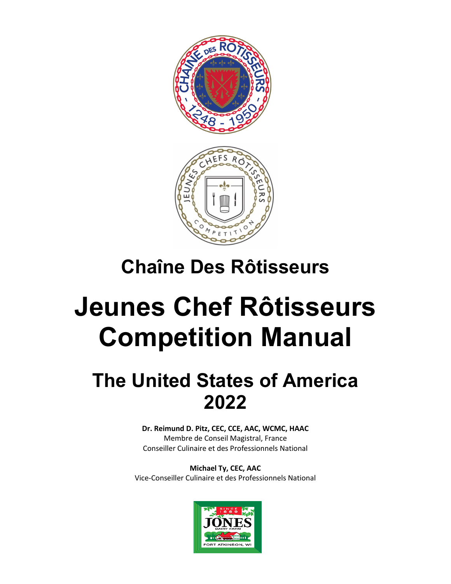

# **Chaîne Des Rôtisseurs**

# **Jeunes Chef Rôtisseurs Competition Manual**

# **The United States of America 2022**

**Dr. Reimund D. Pitz, CEC, CCE, AAC, WCMC, HAAC** Membre de Conseil Magistral, France Conseiller Culinaire et des Professionnels National

**Michael Ty, CEC, AAC** Vice-Conseiller Culinaire et des Professionnels National

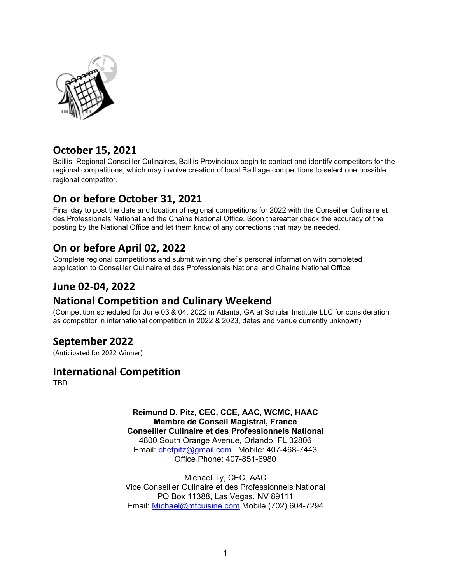

# **October 15, 2021**

Baillis, Regional Conseiller Culinaires, Baillis Provinciaux begin to contact and identify competitors for the regional competitions, which may involve creation of local Bailliage competitions to select one possible regional competitor.

# **On or before October 31, 2021**

Final day to post the date and location of regional competitions for 2022 with the Conseiller Culinaire et des Professionals National and the Chaîne National Office. Soon thereafter check the accuracy of the posting by the National Office and let them know of any corrections that may be needed.

# **On or before April 02, 2022**

Complete regional competitions and submit winning chef's personal information with completed application to Conseiller Culinaire et des Professionals National and Chaîne National Office.

# **June 02-04, 2022**

### **National Competition and Culinary Weekend**

(Competition scheduled for June 03 & 04, 2022 in Atlanta, GA at Schular Institute LLC for consideration as competitor in international competition in 2022 & 2023, dates and venue currently unknown)

### **September 2022**

(Anticipated for 2022 Winner)

### **International Competition**

TBD

**Reimund D. Pitz, CEC, CCE, AAC, WCMC, HAAC Membre de Conseil Magistral, France Conseiller Culinaire et des Professionnels National** 4800 South Orange Avenue, Orlando, FL 32806 Email: [chefpitz@gmail.com](mailto:chefpitz@gmail.com) Mobile: 407-468-7443 Office Phone: 407-851-6980

Michael Ty, CEC, AAC Vice Conseiller Culinaire et des Professionnels National PO Box 11388, Las Vegas, NV 89111 Email: [Michael@mtcuisine.com](mailto:Michael@mtcuisine.com) Mobile (702) 604-7294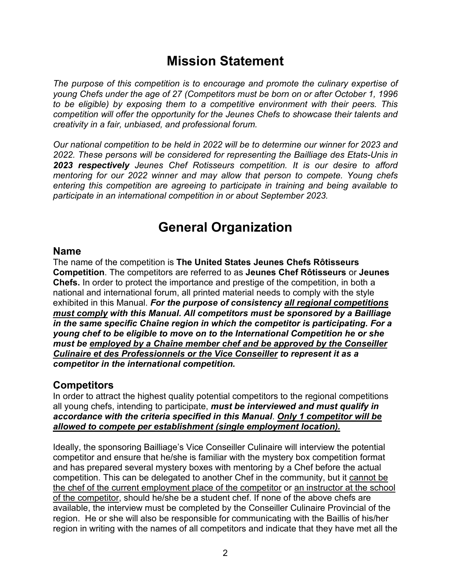# **Mission Statement**

The purpose of this competition is to encourage and promote the culinary expertise of *young Chefs under the age of 27 (Competitors must be born on or after October 1, 1996 to be eligible) by exposing them to a competitive environment with their peers. This competition will offer the opportunity for the Jeunes Chefs to showcase their talents and creativity in a fair, unbiased, and professional forum.* 

*Our national competition to be held in 2022 will be to determine our winner for 2023 and 2022. These persons will be considered for representing the Bailliage des Etats-Unis in 2023 respectively Jeunes Chef Rotisseurs competition. It is our desire to afford mentoring for our 2022 winner and may allow that person to compete. Young chefs entering this competition are agreeing to participate in training and being available to participate in an international competition in or about September 2023.* 

# **General Organization**

### **Name**

The name of the competition is **The United States Jeunes Chefs Rôtisseurs Competition**. The competitors are referred to as **Jeunes Chef Rôtisseurs** or **Jeunes Chefs.** In order to protect the importance and prestige of the competition, in both a national and international forum, all printed material needs to comply with the style exhibited in this Manual. *For the purpose of consistency all regional competitions must comply with this Manual. All competitors must be sponsored by a Bailliage in the same specific Chaîne region in which the competitor is participating. For a young chef to be eligible to move on to the International Competition he or she must be employed by a Chaîne member chef and be approved by the Conseiller Culinaire et des Professionnels or the Vice Conseiller to represent it as a competitor in the international competition.*

### **Competitors**

In order to attract the highest quality potential competitors to the regional competitions all young chefs, intending to participate, *must be interviewed and must qualify in accordance with the criteria specified in this Manual*. *Only 1 competitor will be allowed to compete per establishment (single employment location).*

Ideally, the sponsoring Bailliage's Vice Conseiller Culinaire will interview the potential competitor and ensure that he/she is familiar with the mystery box competition format and has prepared several mystery boxes with mentoring by a Chef before the actual competition. This can be delegated to another Chef in the community, but it cannot be the chef of the current employment place of the competitor or an instructor at the school of the competitor, should he/she be a student chef. If none of the above chefs are available, the interview must be completed by the Conseiller Culinaire Provincial of the region. He or she will also be responsible for communicating with the Baillis of his/her region in writing with the names of all competitors and indicate that they have met all the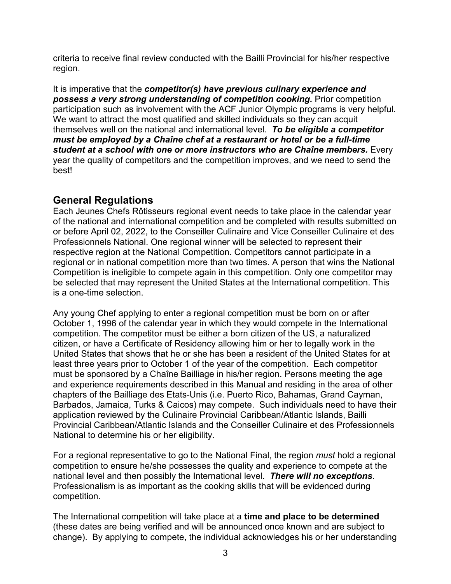criteria to receive final review conducted with the Bailli Provincial for his/her respective region.

It is imperative that the *competitor(s) have previous culinary experience and possess a very strong understanding of competition cooking.* Prior competition participation such as involvement with the ACF Junior Olympic programs is very helpful. We want to attract the most qualified and skilled individuals so they can acquit themselves well on the national and international level. *To be eligible a competitor must be employed by a Chaîne chef at a restaurant or hotel or be a full-time student at a school with one or more instructors who are Chaîne members.* Every year the quality of competitors and the competition improves, and we need to send the best!

# **General Regulations**

Each Jeunes Chefs Rôtisseurs regional event needs to take place in the calendar year of the national and international competition and be completed with results submitted on or before April 02, 2022, to the Conseiller Culinaire and Vice Conseiller Culinaire et des Professionnels National. One regional winner will be selected to represent their respective region at the National Competition. Competitors cannot participate in a regional or in national competition more than two times. A person that wins the National Competition is ineligible to compete again in this competition. Only one competitor may be selected that may represent the United States at the International competition. This is a one-time selection.

Any young Chef applying to enter a regional competition must be born on or after October 1, 1996 of the calendar year in which they would compete in the International competition. The competitor must be either a born citizen of the US, a naturalized citizen, or have a Certificate of Residency allowing him or her to legally work in the United States that shows that he or she has been a resident of the United States for at least three years prior to October 1 of the year of the competition. Each competitor must be sponsored by a Chaîne Bailliage in his/her region. Persons meeting the age and experience requirements described in this Manual and residing in the area of other chapters of the Bailliage des Etats-Unis (i.e. Puerto Rico, Bahamas, Grand Cayman, Barbados, Jamaica, Turks & Caicos) may compete. Such individuals need to have their application reviewed by the Culinaire Provincial Caribbean/Atlantic Islands, Bailli Provincial Caribbean/Atlantic Islands and the Conseiller Culinaire et des Professionnels National to determine his or her eligibility.

For a regional representative to go to the National Final, the region *must* hold a regional competition to ensure he/she possesses the quality and experience to compete at the national level and then possibly the International level. *There will no exceptions*. Professionalism is as important as the cooking skills that will be evidenced during competition.

The International competition will take place at a **time and place to be determined** (these dates are being verified and will be announced once known and are subject to change). By applying to compete, the individual acknowledges his or her understanding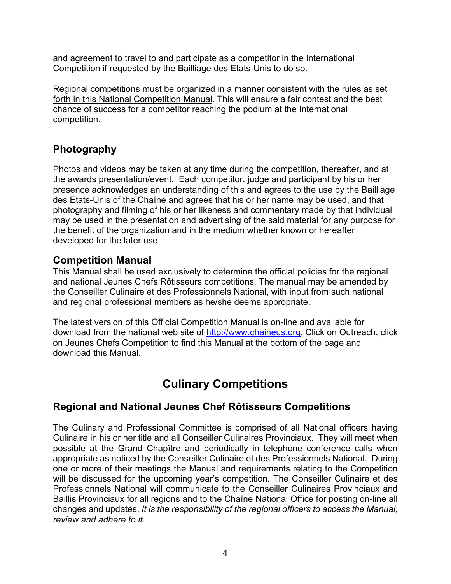and agreement to travel to and participate as a competitor in the International Competition if requested by the Bailliage des Etats-Unis to do so.

Regional competitions must be organized in a manner consistent with the rules as set forth in this National Competition Manual. This will ensure a fair contest and the best chance of success for a competitor reaching the podium at the International competition.

# **Photography**

Photos and videos may be taken at any time during the competition, thereafter, and at the awards presentation/event. Each competitor, judge and participant by his or her presence acknowledges an understanding of this and agrees to the use by the Bailliage des Etats-Unis of the Chaîne and agrees that his or her name may be used, and that photography and filming of his or her likeness and commentary made by that individual may be used in the presentation and advertising of the said material for any purpose for the benefit of the organization and in the medium whether known or hereafter developed for the later use.

### **Competition Manual**

This Manual shall be used exclusively to determine the official policies for the regional and national Jeunes Chefs Rôtisseurs competitions. The manual may be amended by the Conseiller Culinaire et des Professionnels National, with input from such national and regional professional members as he/she deems appropriate.

The latest version of this Official Competition Manual is on-line and available for download from the national web site of [http://www.chaineus.org](http://www.chaineus.org/). Click on Outreach, click on Jeunes Chefs Competition to find this Manual at the bottom of the page and download this Manual.

# **Culinary Competitions**

### **Regional and National Jeunes Chef Rôtisseurs Competitions**

The Culinary and Professional Committee is comprised of all National officers having Culinaire in his or her title and all Conseiller Culinaires Provinciaux. They will meet when possible at the Grand Chapître and periodically in telephone conference calls when appropriate as noticed by the Conseiller Culinaire et des Professionnels National. During one or more of their meetings the Manual and requirements relating to the Competition will be discussed for the upcoming year's competition. The Conseiller Culinaire et des Professionnels National will communicate to the Conseiller Culinaires Provinciaux and Baillis Provinciaux for all regions and to the Chaîne National Office for posting on-line all changes and updates. *It is the responsibility of the regional officers to access the Manual, review and adhere to it.*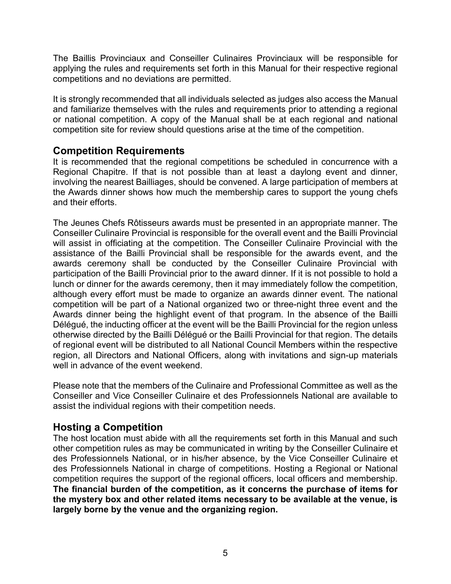The Baillis Provinciaux and Conseiller Culinaires Provinciaux will be responsible for applying the rules and requirements set forth in this Manual for their respective regional competitions and no deviations are permitted.

It is strongly recommended that all individuals selected as judges also access the Manual and familiarize themselves with the rules and requirements prior to attending a regional or national competition. A copy of the Manual shall be at each regional and national competition site for review should questions arise at the time of the competition.

### **Competition Requirements**

It is recommended that the regional competitions be scheduled in concurrence with a Regional Chapitre. If that is not possible than at least a daylong event and dinner, involving the nearest Bailliages, should be convened. A large participation of members at the Awards dinner shows how much the membership cares to support the young chefs and their efforts.

The Jeunes Chefs Rôtisseurs awards must be presented in an appropriate manner. The Conseiller Culinaire Provincial is responsible for the overall event and the Bailli Provincial will assist in officiating at the competition. The Conseiller Culinaire Provincial with the assistance of the Bailli Provincial shall be responsible for the awards event, and the awards ceremony shall be conducted by the Conseiller Culinaire Provincial with participation of the Bailli Provincial prior to the award dinner. If it is not possible to hold a lunch or dinner for the awards ceremony, then it may immediately follow the competition, although every effort must be made to organize an awards dinner event. The national competition will be part of a National organized two or three-night three event and the Awards dinner being the highlight event of that program. In the absence of the Bailli Délégué, the inducting officer at the event will be the Bailli Provincial for the region unless otherwise directed by the Bailli Délégué or the Bailli Provincial for that region. The details of regional event will be distributed to all National Council Members within the respective region, all Directors and National Officers, along with invitations and sign-up materials well in advance of the event weekend.

Please note that the members of the Culinaire and Professional Committee as well as the Conseiller and Vice Conseiller Culinaire et des Professionnels National are available to assist the individual regions with their competition needs.

### **Hosting a Competition**

The host location must abide with all the requirements set forth in this Manual and such other competition rules as may be communicated in writing by the Conseiller Culinaire et des Professionnels National, or in his/her absence, by the Vice Conseiller Culinaire et des Professionnels National in charge of competitions. Hosting a Regional or National competition requires the support of the regional officers, local officers and membership. **The financial burden of the competition, as it concerns the purchase of items for the mystery box and other related items necessary to be available at the venue, is largely borne by the venue and the organizing region.**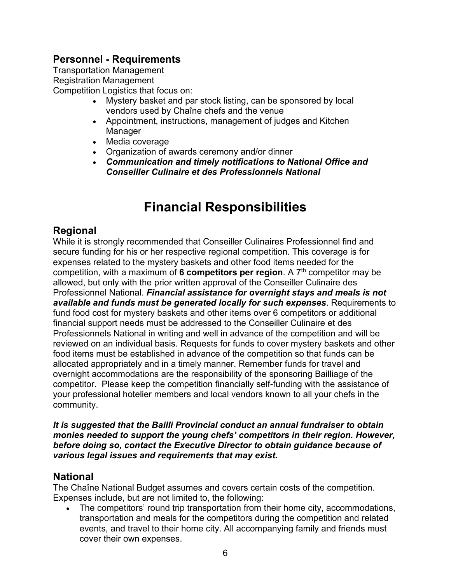# **Personnel - Requirements**

Transportation Management Registration Management Competition Logistics that focus on:

- Mystery basket and par stock listing, can be sponsored by local vendors used by Chaîne chefs and the venue
- Appointment, instructions, management of judges and Kitchen Manager
- Media coverage
- Organization of awards ceremony and/or dinner
- x *Communication and timely notifications to National Office and Conseiller Culinaire et des Professionnels National*

# **Financial Responsibilities**

# **Regional**

While it is strongly recommended that Conseiller Culinaires Professionnel find and secure funding for his or her respective regional competition. This coverage is for expenses related to the mystery baskets and other food items needed for the competition, with a maximum of **6 competitors per region**. A 7th competitor may be allowed, but only with the prior written approval of the Conseiller Culinaire des Professionnel National. *Financial assistance for overnight stays and meals is not available and funds must be generated locally for such expenses*. Requirements to fund food cost for mystery baskets and other items over 6 competitors or additional financial support needs must be addressed to the Conseiller Culinaire et des Professionnels National in writing and well in advance of the competition and will be reviewed on an individual basis. Requests for funds to cover mystery baskets and other food items must be established in advance of the competition so that funds can be allocated appropriately and in a timely manner. Remember funds for travel and overnight accommodations are the responsibility of the sponsoring Bailliage of the competitor. Please keep the competition financially self-funding with the assistance of your professional hotelier members and local vendors known to all your chefs in the community.

*It is suggested that the Bailli Provincial conduct an annual fundraiser to obtain monies needed to support the young chefs' competitors in their region. However, before doing so, contact the Executive Director to obtain guidance because of various legal issues and requirements that may exist.*

### **National**

The Chaîne National Budget assumes and covers certain costs of the competition. Expenses include, but are not limited to, the following:

The competitors' round trip transportation from their home city, accommodations, transportation and meals for the competitors during the competition and related events, and travel to their home city. All accompanying family and friends must cover their own expenses.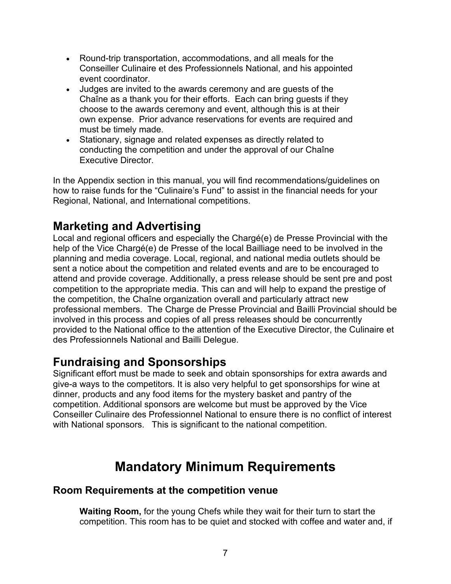- Round-trip transportation, accommodations, and all meals for the Conseiller Culinaire et des Professionnels National, and his appointed event coordinator.
- Judges are invited to the awards ceremony and are guests of the Chaîne as a thank you for their efforts. Each can bring guests if they choose to the awards ceremony and event, although this is at their own expense. Prior advance reservations for events are required and must be timely made.
- Stationary, signage and related expenses as directly related to conducting the competition and under the approval of our Chaîne Executive Director.

In the Appendix section in this manual, you will find recommendations/guidelines on how to raise funds for the "Culinaire's Fund" to assist in the financial needs for your Regional, National, and International competitions.

# **Marketing and Advertising**

Local and regional officers and especially the Chargé(e) de Presse Provincial with the help of the Vice Chargé(e) de Presse of the local Bailliage need to be involved in the planning and media coverage. Local, regional, and national media outlets should be sent a notice about the competition and related events and are to be encouraged to attend and provide coverage. Additionally, a press release should be sent pre and post competition to the appropriate media. This can and will help to expand the prestige of the competition, the Chaîne organization overall and particularly attract new professional members. The Charge de Presse Provincial and Bailli Provincial should be involved in this process and copies of all press releases should be concurrently provided to the National office to the attention of the Executive Director, the Culinaire et des Professionnels National and Bailli Delegue.

# **Fundraising and Sponsorships**

Significant effort must be made to seek and obtain sponsorships for extra awards and give-a ways to the competitors. It is also very helpful to get sponsorships for wine at dinner, products and any food items for the mystery basket and pantry of the competition. Additional sponsors are welcome but must be approved by the Vice Conseiller Culinaire des Professionnel National to ensure there is no conflict of interest with National sponsors. This is significant to the national competition.

# **Mandatory Minimum Requirements**

### **Room Requirements at the competition venue**

**Waiting Room,** for the young Chefs while they wait for their turn to start the competition. This room has to be quiet and stocked with coffee and water and, if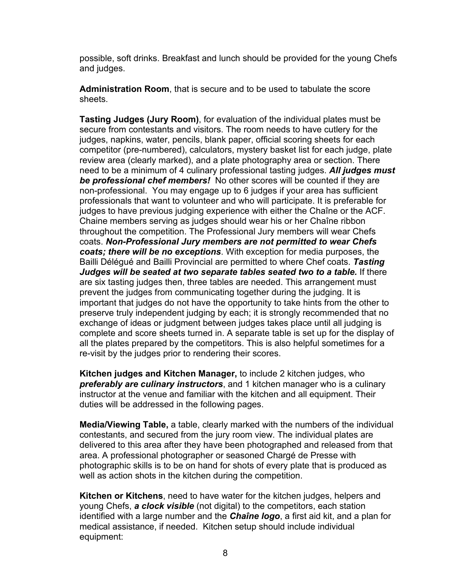possible, soft drinks. Breakfast and lunch should be provided for the young Chefs and judges.

**Administration Room**, that is secure and to be used to tabulate the score sheets.

**Tasting Judges (Jury Room)**, for evaluation of the individual plates must be secure from contestants and visitors. The room needs to have cutlery for the judges, napkins, water, pencils, blank paper, official scoring sheets for each competitor (pre-numbered), calculators, mystery basket list for each judge, plate review area (clearly marked), and a plate photography area or section. There need to be a minimum of 4 culinary professional tasting judges. *All judges must be professional chef members!* No other scores will be counted if they are non-professional. You may engage up to 6 judges if your area has sufficient professionals that want to volunteer and who will participate. It is preferable for judges to have previous judging experience with either the Chaîne or the ACF. Chaine members serving as judges should wear his or her Chaîne ribbon throughout the competition. The Professional Jury members will wear Chefs coats. *Non-Professional Jury members are not permitted to wear Chefs coats; there will be no exceptions*. With exception for media purposes, the Bailli Délégué and Bailli Provincial are permitted to where Chef coats. *Tasting Judges will be seated at two separate tables seated two to a table.* If there are six tasting judges then, three tables are needed. This arrangement must prevent the judges from communicating together during the judging. It is important that judges do not have the opportunity to take hints from the other to preserve truly independent judging by each; it is strongly recommended that no exchange of ideas or judgment between judges takes place until all judging is complete and score sheets turned in. A separate table is set up for the display of all the plates prepared by the competitors. This is also helpful sometimes for a re-visit by the judges prior to rendering their scores.

**Kitchen judges and Kitchen Manager,** to include 2 kitchen judges, who *preferably are culinary instructors*, and 1 kitchen manager who is a culinary instructor at the venue and familiar with the kitchen and all equipment. Their duties will be addressed in the following pages.

**Media/Viewing Table,** a table, clearly marked with the numbers of the individual contestants, and secured from the jury room view. The individual plates are delivered to this area after they have been photographed and released from that area. A professional photographer or seasoned Chargé de Presse with photographic skills is to be on hand for shots of every plate that is produced as well as action shots in the kitchen during the competition.

**Kitchen or Kitchens**, need to have water for the kitchen judges, helpers and young Chefs, *a clock visible* (not digital) to the competitors, each station identified with a large number and the *Chaîne logo*, a first aid kit, and a plan for medical assistance, if needed. Kitchen setup should include individual equipment: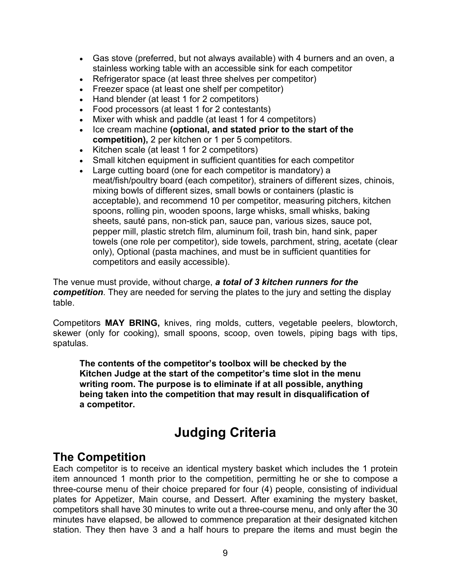- Gas stove (preferred, but not always available) with 4 burners and an oven, a stainless working table with an accessible sink for each competitor
- Refrigerator space (at least three shelves per competitor)
- Freezer space (at least one shelf per competitor)
- Hand blender (at least 1 for 2 competitors)
- Food processors (at least 1 for 2 contestants)
- Mixer with whisk and paddle (at least 1 for 4 competitors)
- x Ice cream machine **(optional, and stated prior to the start of the competition),** 2 per kitchen or 1 per 5 competitors.
- $\bullet$  Kitchen scale (at least 1 for 2 competitors)
- Small kitchen equipment in sufficient quantities for each competitor
- Large cutting board (one for each competitor is mandatory) a meat/fish/poultry board (each competitor), strainers of different sizes, chinois, mixing bowls of different sizes, small bowls or containers (plastic is acceptable), and recommend 10 per competitor, measuring pitchers, kitchen spoons, rolling pin, wooden spoons, large whisks, small whisks, baking sheets, sauté pans, non-stick pan, sauce pan, various sizes, sauce pot, pepper mill, plastic stretch film, aluminum foil, trash bin, hand sink, paper towels (one role per competitor), side towels, parchment, string, acetate (clear only), Optional (pasta machines, and must be in sufficient quantities for competitors and easily accessible).

The venue must provide, without charge, *a total of 3 kitchen runners for the competition*. They are needed for serving the plates to the jury and setting the display table.

Competitors **MAY BRING,** knives, ring molds, cutters, vegetable peelers, blowtorch, skewer (only for cooking), small spoons, scoop, oven towels, piping bags with tips, spatulas.

**The contents of the competitor's toolbox will be checked by the Kitchen Judge at the start of the competitor's time slot in the menu writing room. The purpose is to eliminate if at all possible, anything being taken into the competition that may result in disqualification of a competitor.**

# **Judging Criteria**

# **The Competition**

Each competitor is to receive an identical mystery basket which includes the 1 protein item announced 1 month prior to the competition, permitting he or she to compose a three-course menu of their choice prepared for four (4) people, consisting of individual plates for Appetizer, Main course, and Dessert. After examining the mystery basket, competitors shall have 30 minutes to write out a three-course menu, and only after the 30 minutes have elapsed, be allowed to commence preparation at their designated kitchen station. They then have 3 and a half hours to prepare the items and must begin the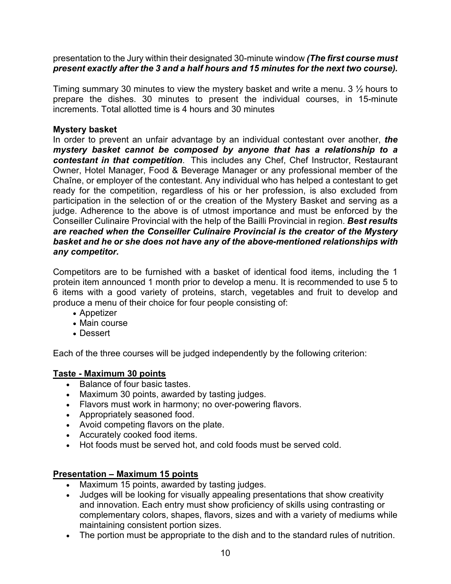presentation to the Jury within their designated 30-minute window *(The first course must present exactly after the 3 and a half hours and 15 minutes for the next two course).*

Timing summary 30 minutes to view the mystery basket and write a menu. 3 ½ hours to prepare the dishes. 30 minutes to present the individual courses, in 15-minute increments. Total allotted time is 4 hours and 30 minutes

### **Mystery basket**

In order to prevent an unfair advantage by an individual contestant over another, *the mystery basket cannot be composed by anyone that has a relationship to a contestant in that competition*. This includes any Chef, Chef Instructor, Restaurant Owner, Hotel Manager, Food & Beverage Manager or any professional member of the Chaîne, or employer of the contestant. Any individual who has helped a contestant to get ready for the competition, regardless of his or her profession, is also excluded from participation in the selection of or the creation of the Mystery Basket and serving as a judge. Adherence to the above is of utmost importance and must be enforced by the Conseiller Culinaire Provincial with the help of the Bailli Provincial in region. *Best results are reached when the Conseiller Culinaire Provincial is the creator of the Mystery basket and he or she does not have any of the above-mentioned relationships with any competitor.* 

Competitors are to be furnished with a basket of identical food items, including the 1 protein item announced 1 month prior to develop a menu. It is recommended to use 5 to 6 items with a good variety of proteins, starch, vegetables and fruit to develop and produce a menu of their choice for four people consisting of:

- Appetizer
- Main course
- Dessert

Each of the three courses will be judged independently by the following criterion:

### **Taste - Maximum 30 points**

- Balance of four basic tastes.
- Maximum 30 points, awarded by tasting judges.
- Flavors must work in harmony; no over-powering flavors.
- Appropriately seasoned food.
- Avoid competing flavors on the plate.
- Accurately cooked food items.
- Hot foods must be served hot, and cold foods must be served cold.

### **Presentation – Maximum 15 points**

- Maximum 15 points, awarded by tasting judges.
- Judges will be looking for visually appealing presentations that show creativity and innovation. Each entry must show proficiency of skills using contrasting or complementary colors, shapes, flavors, sizes and with a variety of mediums while maintaining consistent portion sizes.
- The portion must be appropriate to the dish and to the standard rules of nutrition.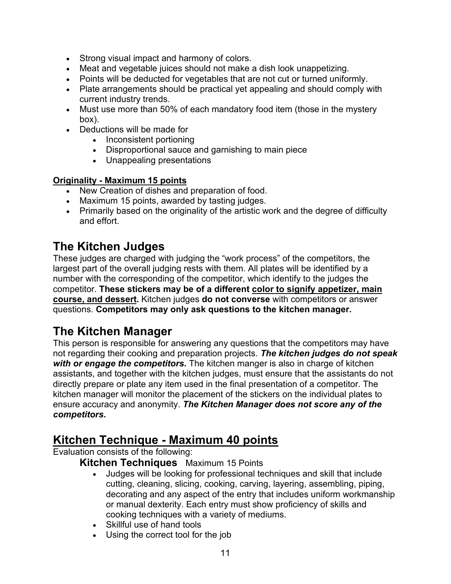- Strong visual impact and harmony of colors.
- Meat and vegetable juices should not make a dish look unappetizing.
- Points will be deducted for vegetables that are not cut or turned uniformly.
- Plate arrangements should be practical yet appealing and should comply with current industry trends.
- Must use more than 50% of each mandatory food item (those in the mystery box).
- Deductions will be made for
	- Inconsistent portioning
	- Disproportional sauce and garnishing to main piece
	- Unappealing presentations

#### **Originality - Maximum 15 points**

- New Creation of dishes and preparation of food.
- Maximum 15 points, awarded by tasting judges.
- Primarily based on the originality of the artistic work and the degree of difficulty and effort.

# **The Kitchen Judges**

These judges are charged with judging the "work process" of the competitors, the largest part of the overall judging rests with them. All plates will be identified by a number with the corresponding of the competitor, which identify to the judges the competitor. **These stickers may be of a different color to signify appetizer, main course, and dessert.** Kitchen judges **do not converse** with competitors or answer questions. **Competitors may only ask questions to the kitchen manager.**

# **The Kitchen Manager**

This person is responsible for answering any questions that the competitors may have not regarding their cooking and preparation projects. *The kitchen judges do not speak with or engage the competitors.* The kitchen manger is also in charge of kitchen assistants, and together with the kitchen judges, must ensure that the assistants do not directly prepare or plate any item used in the final presentation of a competitor. The kitchen manager will monitor the placement of the stickers on the individual plates to ensure accuracy and anonymity. *The Kitchen Manager does not score any of the competitors.* 

# **Kitchen Technique - Maximum 40 points**

Evaluation consists of the following:

### **Kitchen Techniques** Maximum 15 Points

- Judges will be looking for professional techniques and skill that include cutting, cleaning, slicing, cooking, carving, layering, assembling, piping, decorating and any aspect of the entry that includes uniform workmanship or manual dexterity. Each entry must show proficiency of skills and cooking techniques with a variety of mediums.
- Skillful use of hand tools
- Using the correct tool for the job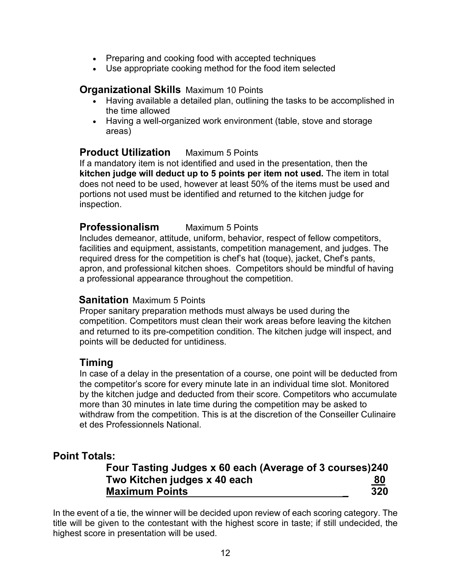- Preparing and cooking food with accepted techniques
- Use appropriate cooking method for the food item selected

### **Organizational Skills** Maximum 10 Points

- Having available a detailed plan, outlining the tasks to be accomplished in the time allowed
- Having a well-organized work environment (table, stove and storage areas)

### **Product Utilization** Maximum 5 Points

If a mandatory item is not identified and used in the presentation, then the **kitchen judge will deduct up to 5 points per item not used.** The item in total does not need to be used, however at least 50% of the items must be used and portions not used must be identified and returned to the kitchen judge for inspection.

### **Professionalism** Maximum 5 Points

Includes demeanor, attitude, uniform, behavior, respect of fellow competitors, facilities and equipment, assistants, competition management, and judges. The required dress for the competition is chef's hat (toque), jacket, Chef's pants, apron, and professional kitchen shoes. Competitors should be mindful of having a professional appearance throughout the competition.

### **Sanitation** Maximum 5 Points

Proper sanitary preparation methods must always be used during the competition. Competitors must clean their work areas before leaving the kitchen and returned to its pre-competition condition. The kitchen judge will inspect, and points will be deducted for untidiness.

### **Timing**

In case of a delay in the presentation of a course, one point will be deducted from the competitor's score for every minute late in an individual time slot. Monitored by the kitchen judge and deducted from their score. Competitors who accumulate more than 30 minutes in late time during the competition may be asked to withdraw from the competition. This is at the discretion of the Conseiller Culinaire et des Professionnels National.

### **Point Totals:**

### **Four Tasting Judges x 60 each (Average of 3 courses)240 Two Kitchen judges x 40 each 80 Maximum Points \_ 320**

In the event of a tie, the winner will be decided upon review of each scoring category. The title will be given to the contestant with the highest score in taste; if still undecided, the highest score in presentation will be used.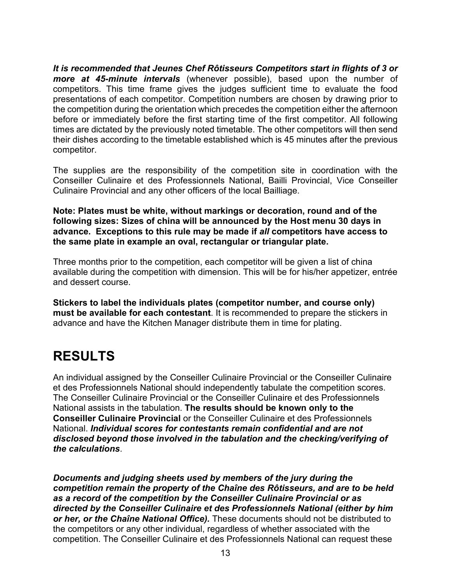*It is recommended that Jeunes Chef Rôtisseurs Competitors start in flights of 3 or more at 45-minute intervals* (whenever possible), based upon the number of competitors. This time frame gives the judges sufficient time to evaluate the food presentations of each competitor. Competition numbers are chosen by drawing prior to the competition during the orientation which precedes the competition either the afternoon before or immediately before the first starting time of the first competitor. All following times are dictated by the previously noted timetable. The other competitors will then send their dishes according to the timetable established which is 45 minutes after the previous competitor.

The supplies are the responsibility of the competition site in coordination with the Conseiller Culinaire et des Professionnels National, Bailli Provincial, Vice Conseiller Culinaire Provincial and any other officers of the local Bailliage.

**Note: Plates must be white, without markings or decoration, round and of the following sizes: Sizes of china will be announced by the Host menu 30 days in advance. Exceptions to this rule may be made if** *all* **competitors have access to the same plate in example an oval, rectangular or triangular plate.**

Three months prior to the competition, each competitor will be given a list of china available during the competition with dimension. This will be for his/her appetizer, entrée and dessert course.

**Stickers to label the individuals plates (competitor number, and course only) must be available for each contestant**. It is recommended to prepare the stickers in advance and have the Kitchen Manager distribute them in time for plating.

# **RESULTS**

An individual assigned by the Conseiller Culinaire Provincial or the Conseiller Culinaire et des Professionnels National should independently tabulate the competition scores. The Conseiller Culinaire Provincial or the Conseiller Culinaire et des Professionnels National assists in the tabulation. **The results should be known only to the Conseiller Culinaire Provincial** or the Conseiller Culinaire et des Professionnels National. *Individual scores for contestants remain confidential and are not disclosed beyond those involved in the tabulation and the checking/verifying of the calculations*.

*Documents and judging sheets used by members of the jury during the competition remain the property of the Chaîne des Rôtisseurs, and are to be held as a record of the competition by the Conseiller Culinaire Provincial or as directed by the Conseiller Culinaire et des Professionnels National (either by him or her, or the Chaîne National Office).* These documents should not be distributed to the competitors or any other individual, regardless of whether associated with the competition. The Conseiller Culinaire et des Professionnels National can request these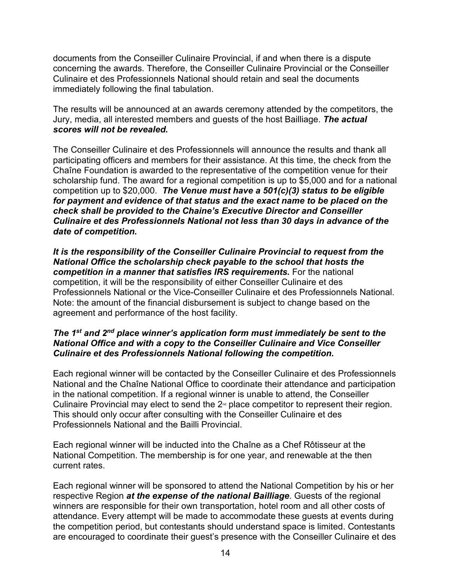documents from the Conseiller Culinaire Provincial, if and when there is a dispute concerning the awards. Therefore, the Conseiller Culinaire Provincial or the Conseiller Culinaire et des Professionnels National should retain and seal the documents immediately following the final tabulation.

The results will be announced at an awards ceremony attended by the competitors, the Jury, media, all interested members and guests of the host Bailliage. *The actual scores will not be revealed.*

The Conseiller Culinaire et des Professionnels will announce the results and thank all participating officers and members for their assistance. At this time, the check from the Chaîne Foundation is awarded to the representative of the competition venue for their scholarship fund. The award for a regional competition is up to \$5,000 and for a national competition up to \$20,000. *The Venue must have a 501(c)(3) status to be eligible for payment and evidence of that status and the exact name to be placed on the check shall be provided to the Chaine's Executive Director and Conseiller Culinaire et des Professionnels National not less than 30 days in advance of the date of competition.* 

*It is the responsibility of the Conseiller Culinaire Provincial to request from the National Office the scholarship check payable to the school that hosts the competition in a manner that satisfies IRS requirements.* For the national competition, it will be the responsibility of either Conseiller Culinaire et des Professionnels National or the Vice-Conseiller Culinaire et des Professionnels National. Note: the amount of the financial disbursement is subject to change based on the agreement and performance of the host facility.

#### *The 1st and 2nd place winner's application form must immediately be sent to the National Office and with a copy to the Conseiller Culinaire and Vice Conseiller Culinaire et des Professionnels National following the competition.*

Each regional winner will be contacted by the Conseiller Culinaire et des Professionnels National and the Chaîne National Office to coordinate their attendance and participation in the national competition. If a regional winner is unable to attend, the Conseiller Culinaire Provincial may elect to send the  $2<sup>nd</sup>$  place competitor to represent their region. This should only occur after consulting with the Conseiller Culinaire et des Professionnels National and the Bailli Provincial.

Each regional winner will be inducted into the Chaîne as a Chef Rôtisseur at the National Competition. The membership is for one year, and renewable at the then current rates.

Each regional winner will be sponsored to attend the National Competition by his or her respective Region *at the expense of the national Bailliage*. Guests of the regional winners are responsible for their own transportation, hotel room and all other costs of attendance. Every attempt will be made to accommodate these guests at events during the competition period, but contestants should understand space is limited. Contestants are encouraged to coordinate their guest's presence with the Conseiller Culinaire et des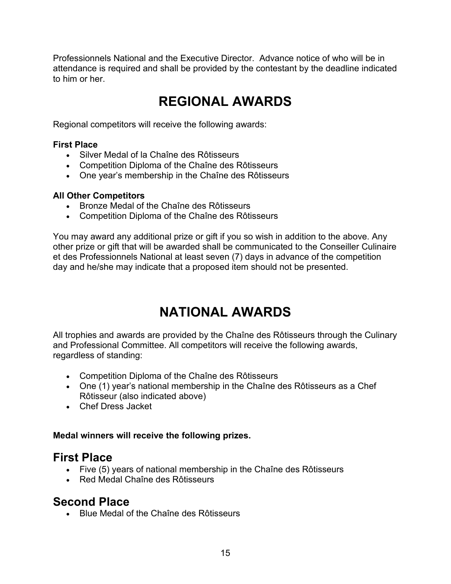Professionnels National and the Executive Director. Advance notice of who will be in attendance is required and shall be provided by the contestant by the deadline indicated to him or her.

# **REGIONAL AWARDS**

Regional competitors will receive the following awards:

### **First Place**

- Silver Medal of la Chaîne des Rôtisseurs
- Competition Diploma of the Chaîne des Rôtisseurs
- One year's membership in the Chaîne des Rôtisseurs

#### **All Other Competitors**

- Bronze Medal of the Chaîne des Rôtisseurs
- Competition Diploma of the Chaîne des Rôtisseurs

You may award any additional prize or gift if you so wish in addition to the above. Any other prize or gift that will be awarded shall be communicated to the Conseiller Culinaire et des Professionnels National at least seven (7) days in advance of the competition day and he/she may indicate that a proposed item should not be presented.

# **NATIONAL AWARDS**

All trophies and awards are provided by the Chaîne des Rôtisseurs through the Culinary and Professional Committee. All competitors will receive the following awards, regardless of standing:

- Competition Diploma of the Chaîne des Rôtisseurs
- One (1) year's national membership in the Chaîne des Rôtisseurs as a Chef Rôtisseur (also indicated above)
- Chef Dress Jacket

#### **Medal winners will receive the following prizes.**

# **First Place**

- Five (5) years of national membership in the Chaîne des Rôtisseurs
- Red Medal Chaîne des Rôtisseurs

# **Second Place**

• Blue Medal of the Chaîne des Rôtisseurs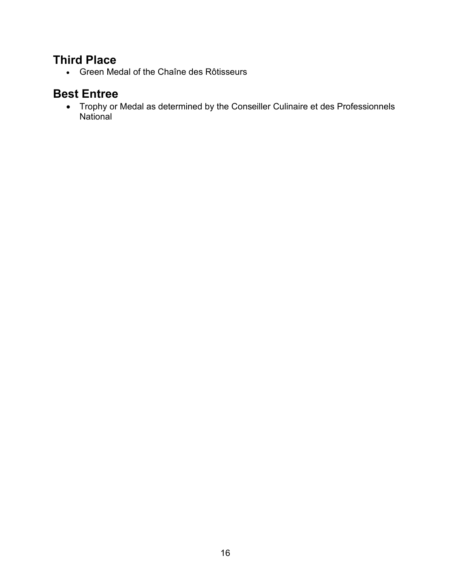# **Third Place**

x Green Medal of the Chaîne des Rôtisseurs

# **Best Entree**

• Trophy or Medal as determined by the Conseiller Culinaire et des Professionnels National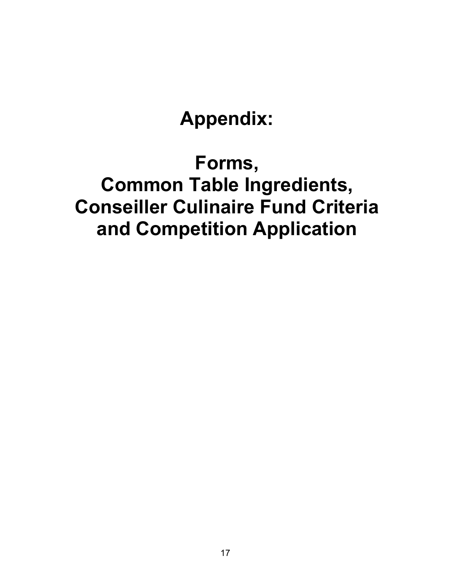# **Appendix:**

# **Forms, Common Table Ingredients, Conseiller Culinaire Fund Criteria and Competition Application**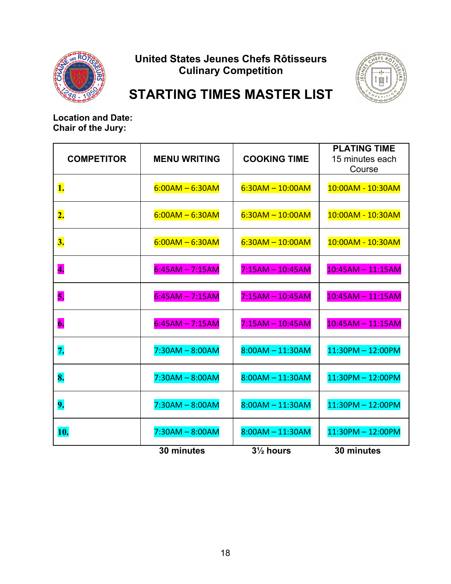

# **United States Jeunes Chefs Rôtisseurs Culinary Competition**



# **STARTING TIMES MASTER LIST**

**Location and Date: Chair of the Jury:**

| <b>COMPETITOR</b>         | <b>MENU WRITING</b> | <b>COOKING TIME</b>  | <b>PLATING TIME</b><br>15 minutes each<br>Course |
|---------------------------|---------------------|----------------------|--------------------------------------------------|
| 1.                        | $6:00AM - 6:30AM$   | $6:30AM - 10:00AM$   | 10:00AM - 10:30AM                                |
| $\overline{\mathbf{2}}$ . | $6:00AM - 6:30AM$   | $6:30AM - 10:00AM$   | 10:00AM - 10:30AM                                |
| 3.                        | $6:00AM - 6:30AM$   | $6:30AM - 10:00AM$   | 10:00AM - 10:30AM                                |
| 4.                        | $6:45AM - 7:15AM$   | $7:15AM - 10:45AM$   | $10:45AM - 11:15AM$                              |
| 5.                        | $6:45AM - 7:15AM$   | $7:15AM - 10:45AM$   | $10:45AM - 11:15AM$                              |
| 6.                        | $6:45AM - 7:15AM$   | $7:15AM - 10:45AM$   | $10:45AM - 11:15AM$                              |
| 7.                        | $7:30AM - 8:00AM$   | $8:00AM - 11:30AM$   | $11:30PM - 12:00PM$                              |
| 8.                        | $7:30AM - 8:00AM$   | $8:00AM - 11:30AM$   | $11:30PM - 12:00PM$                              |
| 9.                        | $7:30AM - 8:00AM$   | $8:00AM - 11:30AM$   | $11:30PM - 12:00PM$                              |
| 10.                       | $7:30AM - 8:00AM$   | $8:00AM - 11:30AM$   | $11:30PM - 12:00PM$                              |
|                           | 30 minutes          | $3\frac{1}{2}$ hours | 30 minutes                                       |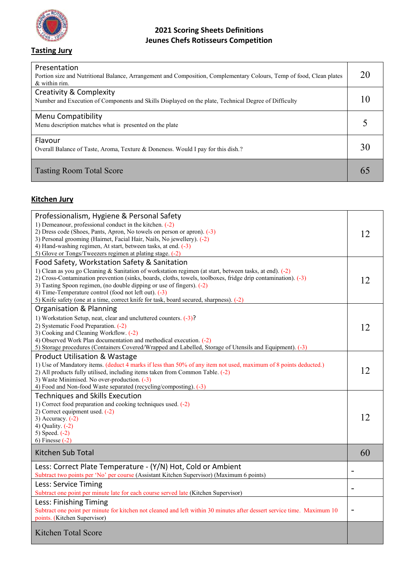

**Tasting Jury**

### **2021 Scoring Sheets Definitions Jeunes Chefs Rotisseurs Competition**

| Presentation<br>Portion size and Nutritional Balance, Arrangement and Composition, Complementary Colours, Temp of food, Clean plates<br>& within rim. | 20 |
|-------------------------------------------------------------------------------------------------------------------------------------------------------|----|
| <b>Creativity &amp; Complexity</b><br>Number and Execution of Components and Skills Displayed on the plate, Technical Degree of Difficulty            |    |
| Menu Compatibility<br>Menu description matches what is presented on the plate                                                                         |    |
| Flavour<br>Overall Balance of Taste, Aroma, Texture & Doneness. Would I pay for this dish.?                                                           | 30 |
| <b>Tasting Room Total Score</b>                                                                                                                       |    |

### **Kitchen Jury**

| Professionalism, Hygiene & Personal Safety<br>1) Demeanour, professional conduct in the kitchen. (-2)<br>2) Dress code (Shoes, Pants, Apron, No towels on person or apron). (-3)<br>3) Personal grooming (Hairnet, Facial Hair, Nails, No jewellery). (-2)<br>4) Hand-washing regimen, At start, between tasks, at end. (-3)<br>5) Glove or Tongs/Tweezers regimen at plating stage. (-2)                                                                                                                 | 12 |
|-----------------------------------------------------------------------------------------------------------------------------------------------------------------------------------------------------------------------------------------------------------------------------------------------------------------------------------------------------------------------------------------------------------------------------------------------------------------------------------------------------------|----|
| Food Safety, Workstation Safety & Sanitation<br>1) Clean as you go Cleaning & Sanitation of workstation regimen (at start, between tasks, at end). (-2)<br>2) Cross-Contamination prevention (sinks, boards, cloths, towels, toolboxes, fridge drip contamination). (-3)<br>3) Tasting Spoon regimen, (no double dipping or use of fingers). $(-2)$<br>4) Time-Temperature control (food not left out). $(-3)$<br>5) Knife safety (one at a time, correct knife for task, board secured, sharpness). (-2) | 12 |
| Organisation & Planning<br>1) Workstation Setup, neat, clear and uncluttered counters. (-3)?<br>2) Systematic Food Preparation. (-2)<br>3) Cooking and Cleaning Workflow. (-2)<br>4) Observed Work Plan documentation and methodical execution. (-2)<br>5) Storage procedures (Containers Covered/Wrapped and Labelled, Storage of Utensils and Equipment). (-3)                                                                                                                                          | 12 |
| <b>Product Utilisation &amp; Wastage</b><br>1) Use of Mandatory items. (deduct 4 marks if less than 50% of any item not used, maximum of 8 points deducted.)<br>2) All products fully utilised, including items taken from Common Table. $(-2)$<br>3) Waste Minimised. No over-production. (-3)<br>4) Food and Non-food Waste separated (recycling/composting). (-3)                                                                                                                                      | 12 |
| <b>Techniques and Skills Execution</b><br>1) Correct food preparation and cooking techniques used. (-2)<br>2) Correct equipment used. (-2)<br>3) Accuracy. $(-2)$<br>4) Quality. $(-2)$<br>5) Speed. $(-2)$<br>6) Finesse $(-2)$                                                                                                                                                                                                                                                                          | 12 |
| Kitchen Sub Total                                                                                                                                                                                                                                                                                                                                                                                                                                                                                         | 60 |
| Less: Correct Plate Temperature - (Y/N) Hot, Cold or Ambient<br>Subtract two points per 'No' per course (Assistant Kitchen Supervisor) (Maximum 6 points)                                                                                                                                                                                                                                                                                                                                                 |    |
| Less: Service Timing<br>Subtract one point per minute late for each course served late (Kitchen Supervisor)                                                                                                                                                                                                                                                                                                                                                                                               |    |
| Less: Finishing Timing<br>Subtract one point per minute for kitchen not cleaned and left within 30 minutes after dessert service time. Maximum 10<br>points. (Kitchen Supervisor)                                                                                                                                                                                                                                                                                                                         | -  |
| <b>Kitchen Total Score</b>                                                                                                                                                                                                                                                                                                                                                                                                                                                                                |    |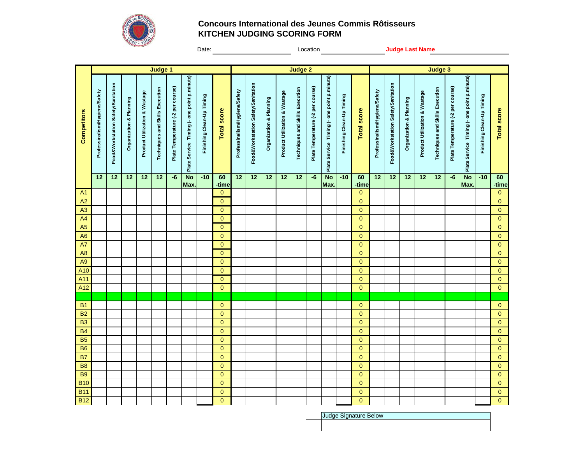

#### **Concours International des Jeunes Commis Rôtisseurs KITCHEN JUDGING SCORING FORM**

Date: <u>Conservation Constantine Conservation Conservation Conservation Conservation Conservation Conservation Conservation Conservation Conservation Conservation Conservation Conservation Conservation Conservation Conserva</u>

|                |                               |                                      |                         |                               | Judge 1                                |                                   |                                             |                           |                       |                               |                                    |                         |                               | <b>Judge 2</b>                  |                                   |                                             |                           |                       |                               |                                    |                         |                               | Judge 3                         |                                   |                                             |                           |                    |
|----------------|-------------------------------|--------------------------------------|-------------------------|-------------------------------|----------------------------------------|-----------------------------------|---------------------------------------------|---------------------------|-----------------------|-------------------------------|------------------------------------|-------------------------|-------------------------------|---------------------------------|-----------------------------------|---------------------------------------------|---------------------------|-----------------------|-------------------------------|------------------------------------|-------------------------|-------------------------------|---------------------------------|-----------------------------------|---------------------------------------------|---------------------------|--------------------|
| Competitors    | Professinalism/Hygiene/Safety | Food & Workstation Safety/Sanitation | Organization & Planning | Product Utilization & Wastage | <b>Techniques and Skills Execution</b> | Plate Temperature (-2 per course) | Plate Service Timing (- one point p.minute) | Finishing Clean-Up Timing | <b>Total score</b>    | Professinalism/Hygiene/Safety | Food&Workstation Safety/Sanitation | Organization & Planning | Product Utilization & Wastage | Techniques and Skills Execution | Plate Temperature (-2 per course) | Plate Service Timing (- one point p.minute) | Finishing Clean-Up Timing | <b>Total score</b>    | Professinalism/Hygiene/Safety | Food&Workstation Safety/Sanitation | Organization & Planning | Product Utilization & Wastage | Techniques and Skills Execution | Plate Temperature (-2 per course) | Plate Service Timing (- one point p.minute) | Finishing Clean-Up Timing | <b>Total score</b> |
|                | 12                            | 12                                   | 12                      | 12                            | 12                                     | -6                                | <b>No</b>                                   | $-10$                     | 60                    | 12                            | 12                                 | 12                      | 12                            | 12                              | $-6$                              | <b>No</b>                                   | $-10$                     | 60                    | 12                            | 12                                 | 12                      | $12$                          | 12                              | $-6$                              | <b>No</b>                                   | $-10$                     | 60                 |
| A <sub>1</sub> |                               |                                      |                         |                               |                                        |                                   | Max.                                        |                           | -time<br>$\mathbf{0}$ |                               |                                    |                         |                               |                                 |                                   | Max.                                        |                           | -time<br>$\mathbf{0}$ |                               |                                    |                         |                               |                                 |                                   | Max.                                        |                           | -time<br>$\pmb{0}$ |
| A2             |                               |                                      |                         |                               |                                        |                                   |                                             |                           | $\mathbf{0}$          |                               |                                    |                         |                               |                                 |                                   |                                             |                           | $\mathbf{0}$          |                               |                                    |                         |                               |                                 |                                   |                                             |                           | $\pmb{0}$          |
| A3             |                               |                                      |                         |                               |                                        |                                   |                                             |                           | $\mathbf 0$           |                               |                                    |                         |                               |                                 |                                   |                                             |                           | $\Omega$              |                               |                                    |                         |                               |                                 |                                   |                                             |                           | $\pmb{0}$          |
| A4             |                               |                                      |                         |                               |                                        |                                   |                                             |                           | $\mathbf{0}$          |                               |                                    |                         |                               |                                 |                                   |                                             |                           | $\mathbf{0}$          |                               |                                    |                         |                               |                                 |                                   |                                             |                           | $\mathbf 0$        |
| A <sub>5</sub> |                               |                                      |                         |                               |                                        |                                   |                                             |                           | $\mathbf{0}$          |                               |                                    |                         |                               |                                 |                                   |                                             |                           | $\mathbf{0}$          |                               |                                    |                         |                               |                                 |                                   |                                             |                           | $\pmb{0}$          |
| A <sub>6</sub> |                               |                                      |                         |                               |                                        |                                   |                                             |                           | $\mathbf{0}$          |                               |                                    |                         |                               |                                 |                                   |                                             |                           | $\mathbf{0}$          |                               |                                    |                         |                               |                                 |                                   |                                             |                           | $\mathbf 0$        |
| A7             |                               |                                      |                         |                               |                                        |                                   |                                             |                           | $\overline{0}$        |                               |                                    |                         |                               |                                 |                                   |                                             |                           | $\mathbf{0}$          |                               |                                    |                         |                               |                                 |                                   |                                             |                           | $\pmb{0}$          |
| A <sub>8</sub> |                               |                                      |                         |                               |                                        |                                   |                                             |                           | $\mathbf{0}$          |                               |                                    |                         |                               |                                 |                                   |                                             |                           | $\mathbf{0}$          |                               |                                    |                         |                               |                                 |                                   |                                             |                           | $\pmb{0}$          |
| A <sub>9</sub> |                               |                                      |                         |                               |                                        |                                   |                                             |                           | $\mathbf{0}$          |                               |                                    |                         |                               |                                 |                                   |                                             |                           | $\mathbf{0}$          |                               |                                    |                         |                               |                                 |                                   |                                             |                           | $\pmb{0}$          |
| A10            |                               |                                      |                         |                               |                                        |                                   |                                             |                           | $\overline{0}$        |                               |                                    |                         |                               |                                 |                                   |                                             |                           | $\mathbf{0}$          |                               |                                    |                         |                               |                                 |                                   |                                             |                           | $\mathbf 0$        |
| A11            |                               |                                      |                         |                               |                                        |                                   |                                             |                           | $\Omega$              |                               |                                    |                         |                               |                                 |                                   |                                             |                           | $\Omega$              |                               |                                    |                         |                               |                                 |                                   |                                             |                           | $\mathbf 0$        |
| A12            |                               |                                      |                         |                               |                                        |                                   |                                             |                           | $\overline{0}$        |                               |                                    |                         |                               |                                 |                                   |                                             |                           | $\mathbf{0}$          |                               |                                    |                         |                               |                                 |                                   |                                             |                           | $\mathbf 0$        |
|                |                               |                                      |                         |                               |                                        |                                   |                                             |                           |                       |                               |                                    |                         |                               |                                 |                                   |                                             |                           |                       |                               |                                    |                         |                               |                                 |                                   |                                             |                           |                    |
| <b>B1</b>      |                               |                                      |                         |                               |                                        |                                   |                                             |                           | $\mathbf{0}$          |                               |                                    |                         |                               |                                 |                                   |                                             |                           | $\mathbf{0}$          |                               |                                    |                         |                               |                                 |                                   |                                             |                           | $\pmb{0}$          |
| <b>B2</b>      |                               |                                      |                         |                               |                                        |                                   |                                             |                           | $\overline{0}$        |                               |                                    |                         |                               |                                 |                                   |                                             |                           | $\mathbf{0}$          |                               |                                    |                         |                               |                                 |                                   |                                             |                           | $\pmb{0}$          |
| B <sub>3</sub> |                               |                                      |                         |                               |                                        |                                   |                                             |                           | $\mathbf{0}$          |                               |                                    |                         |                               |                                 |                                   |                                             |                           | $\mathbf{0}$          |                               |                                    |                         |                               |                                 |                                   |                                             |                           | $\pmb{0}$          |
| <b>B4</b>      |                               |                                      |                         |                               |                                        |                                   |                                             |                           | $\overline{0}$        |                               |                                    |                         |                               |                                 |                                   |                                             |                           | $\mathbf{0}$          |                               |                                    |                         |                               |                                 |                                   |                                             |                           | $\mathbf 0$        |
| <b>B5</b>      |                               |                                      |                         |                               |                                        |                                   |                                             |                           | $\overline{0}$        |                               |                                    |                         |                               |                                 |                                   |                                             |                           | $\mathbf{0}$          |                               |                                    |                         |                               |                                 |                                   |                                             |                           | $\pmb{0}$          |
| <b>B6</b>      |                               |                                      |                         |                               |                                        |                                   |                                             |                           | $\overline{0}$        |                               |                                    |                         |                               |                                 |                                   |                                             |                           | $\mathbf{0}$          |                               |                                    |                         |                               |                                 |                                   |                                             |                           | $\mathbf 0$        |
| <b>B7</b>      |                               |                                      |                         |                               |                                        |                                   |                                             |                           | $\mathbf 0$           |                               |                                    |                         |                               |                                 |                                   |                                             |                           | $\mathbf{0}$          |                               |                                    |                         |                               |                                 |                                   |                                             |                           | $\pmb{0}$          |
| <b>B8</b>      |                               |                                      |                         |                               |                                        |                                   |                                             |                           | $\mathbf 0$           |                               |                                    |                         |                               |                                 |                                   |                                             |                           | $\mathbf{0}$          |                               |                                    |                         |                               |                                 |                                   |                                             |                           | $\pmb{0}$          |
| <b>B9</b>      |                               |                                      |                         |                               |                                        |                                   |                                             |                           | $\overline{0}$        |                               |                                    |                         |                               |                                 |                                   |                                             |                           | $\mathbf{0}$          |                               |                                    |                         |                               |                                 |                                   |                                             |                           | $\mathbf 0$        |
| <b>B10</b>     |                               |                                      |                         |                               |                                        |                                   |                                             |                           | $\overline{0}$        |                               |                                    |                         |                               |                                 |                                   |                                             |                           | $\mathbf{0}$          |                               |                                    |                         |                               |                                 |                                   |                                             |                           | $\pmb{0}$          |
| <b>B11</b>     |                               |                                      |                         |                               |                                        |                                   |                                             |                           | $\overline{0}$        |                               |                                    |                         |                               |                                 |                                   |                                             |                           | $\mathbf{0}$          |                               |                                    |                         |                               |                                 |                                   |                                             |                           | $\pmb{0}$          |
| <b>B12</b>     |                               |                                      |                         |                               |                                        |                                   |                                             |                           | $\overline{0}$        |                               |                                    |                         |                               |                                 |                                   |                                             |                           | $\overline{0}$        |                               |                                    |                         |                               |                                 |                                   |                                             |                           | $\overline{0}$     |

Judge Signature Below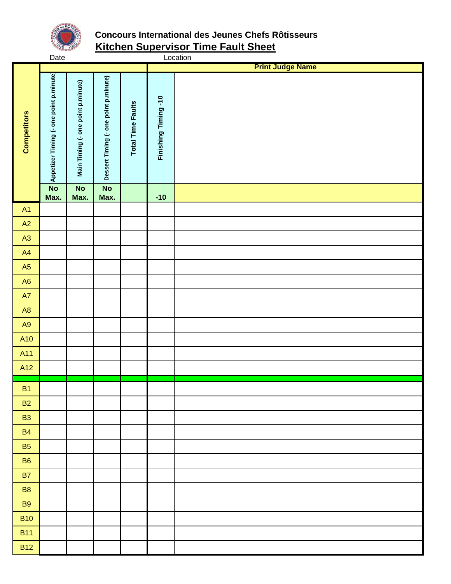

# **Concours International des Jeunes Chefs Rôtisseurs Kitchen Supervisor Time Fault Sheet**

|                    | Date                                   |                                    |                                       |                          |                     | Location                |
|--------------------|----------------------------------------|------------------------------------|---------------------------------------|--------------------------|---------------------|-------------------------|
|                    |                                        |                                    |                                       |                          |                     | <b>Print Judge Name</b> |
| <b>Competitors</b> | Appetizer Timing (- one point p.minute | Main Timing (- one point p.minute) | Dessert Timing (- one point p.minute) | <b>Total Time Faults</b> | Finishing Timing-10 |                         |
|                    | $\overline{N}$<br>Max.                 | $\overline{N}$<br>Max.             | $\overline{N}$<br>Max.                |                          | $-10$               |                         |
| A1                 |                                        |                                    |                                       |                          |                     |                         |
| A2                 |                                        |                                    |                                       |                          |                     |                         |
| A3                 |                                        |                                    |                                       |                          |                     |                         |
| A4                 |                                        |                                    |                                       |                          |                     |                         |
| A5                 |                                        |                                    |                                       |                          |                     |                         |
| A6                 |                                        |                                    |                                       |                          |                     |                         |
| A7                 |                                        |                                    |                                       |                          |                     |                         |
| A8                 |                                        |                                    |                                       |                          |                     |                         |
| A9                 |                                        |                                    |                                       |                          |                     |                         |
| A10                |                                        |                                    |                                       |                          |                     |                         |
| A11                |                                        |                                    |                                       |                          |                     |                         |
| A12                |                                        |                                    |                                       |                          |                     |                         |
| B <sub>1</sub>     |                                        |                                    |                                       |                          |                     |                         |
| <b>B2</b>          |                                        |                                    |                                       |                          |                     |                         |
| <b>B3</b>          |                                        |                                    |                                       |                          |                     |                         |
| <b>B4</b>          |                                        |                                    |                                       |                          |                     |                         |
| <b>B5</b>          |                                        |                                    |                                       |                          |                     |                         |
| <b>B6</b>          |                                        |                                    |                                       |                          |                     |                         |
| <b>B7</b>          |                                        |                                    |                                       |                          |                     |                         |
| <b>B8</b>          |                                        |                                    |                                       |                          |                     |                         |
| <b>B9</b>          |                                        |                                    |                                       |                          |                     |                         |
| <b>B10</b>         |                                        |                                    |                                       |                          |                     |                         |
| <b>B11</b>         |                                        |                                    |                                       |                          |                     |                         |
| <b>B12</b>         |                                        |                                    |                                       |                          |                     |                         |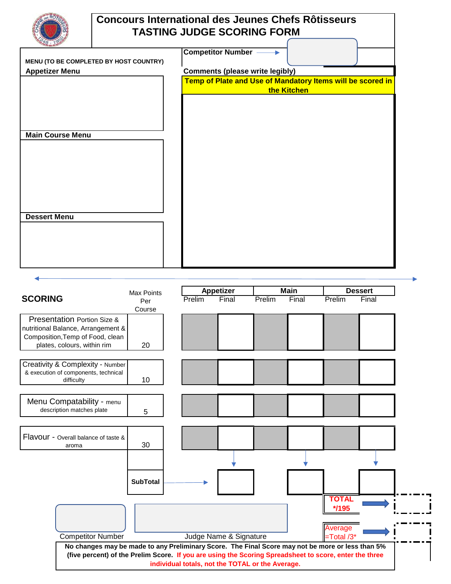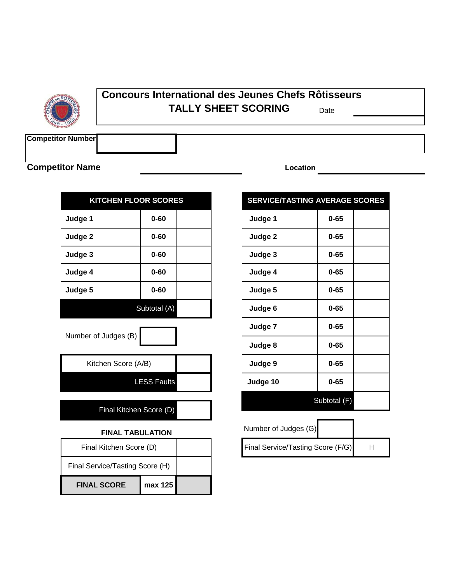

#### **Concours International des Jeunes Chefs Rôtisseurs** Date **TALLY SHEET SCORING**

**Competitor Number**

### **Competitor Name**

| <b>KITCHEN FLOOR SCORES</b> |              | <b>SERVICE/TASTING AVERA</b> |         |          |
|-----------------------------|--------------|------------------------------|---------|----------|
| Judge 1                     | $0 - 60$     |                              | Judge 1 | $0 - 65$ |
| Judge 2                     | $0 - 60$     |                              | Judge 2 | $0 - 65$ |
| Judge 3                     | $0 - 60$     |                              | Judge 3 | $0 - 65$ |
| Judge 4                     | $0 - 60$     |                              | Judge 4 | $0 - 65$ |
| Judge 5                     | $0 - 60$     |                              | Judge 5 | $0 - 65$ |
|                             | Subtotal (A) |                              | Judge 6 | $0 - 65$ |
|                             |              |                              |         |          |

| Number of Judges (B) |
|----------------------|
|----------------------|

| Kitchen Score (A/B) |  |
|---------------------|--|
| <b>LESS Faults</b>  |  |
|                     |  |

Final Kitchen Score (D)

#### **FINAL TABULATION**

| Final Kitchen Score (D)         |         |  |
|---------------------------------|---------|--|
| Final Service/Tasting Score (H) |         |  |
| <b>FINAL SCORE</b>              | max 125 |  |

**Location**

# **SERVICE/TASTING AVERAGE SCORES**

| $0 - 60$             | Judge 1  | $0 - 65$     |
|----------------------|----------|--------------|
| $0 - 60$             | Judge 2  | $0 - 65$     |
| $0 - 60$             | Judge 3  | $0 - 65$     |
| $0 - 60$             | Judge 4  | $0 - 65$     |
| $0 - 60$             | Judge 5  | $0 - 65$     |
| Subtotal (A)         | Judge 6  | $0 - 65$     |
|                      | Judge 7  | $0 - 65$     |
|                      | Judge 8  | $0 - 65$     |
| (A/B)                | Judge 9  | $0 - 65$     |
| <b>ESS Faults</b>    | Judge 10 | $0 - 65$     |
| $R_{\text{max}}$ (D) |          | Subtotal (F) |

| Number of Judges (G)              |  |
|-----------------------------------|--|
| Final Service/Tasting Score (F/G) |  |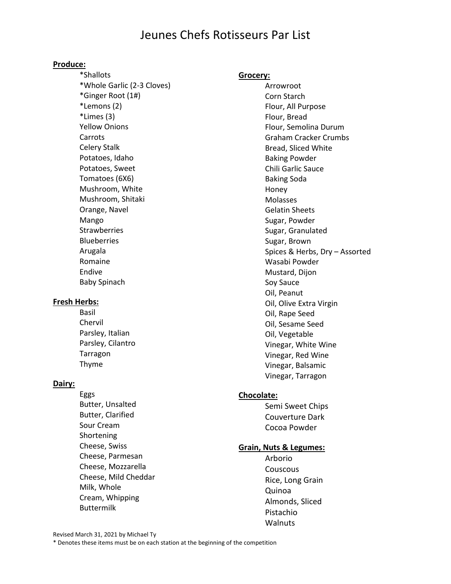# Jeunes Chefs Rotisseurs Par List

#### **Produce:**

\*Shallots \*Whole Garlic (2-3 Cloves) \*Ginger Root (1#) \*Lemons (2) \*Limes (3) Yellow Onions Carrots Celery Stalk Potatoes, Idaho Potatoes, Sweet Tomatoes (6X6) Mushroom, White Mushroom, Shitaki Orange, Navel Mango **Strawberries Blueberries** Arugala Romaine Endive Baby Spinach

#### **Fresh Herbs:**

Basil Chervil Parsley, Italian Parsley, Cilantro Tarragon Thyme

#### **Dairy:**

Eggs Butter, Unsalted Butter, Clarified Sour Cream Shortening Cheese, Swiss Cheese, Parmesan Cheese, Mozzarella Cheese, Mild Cheddar Milk, Whole Cream, Whipping Buttermilk

#### **Grocery:**

Arrowroot Corn Starch Flour, All Purpose Flour, Bread Flour, Semolina Durum Graham Cracker Crumbs Bread, Sliced White Baking Powder Chili Garlic Sauce Baking Soda Honey Molasses Gelatin Sheets Sugar, Powder Sugar, Granulated Sugar, Brown Spices & Herbs, Dry – Assorted Wasabi Powder Mustard, Dijon Soy Sauce Oil, Peanut Oil, Olive Extra Virgin Oil, Rape Seed Oil, Sesame Seed Oil, Vegetable Vinegar, White Wine Vinegar, Red Wine Vinegar, Balsamic Vinegar, Tarragon

#### **Chocolate:**

Semi Sweet Chips Couverture Dark Cocoa Powder

#### **Grain, Nuts & Legumes:**

Arborio **Couscous** Rice, Long Grain Quinoa Almonds, Sliced Pistachio Walnuts

Revised March 31, 2021 by Michael Ty

\* Denotes these items must be on each station at the beginning of the competition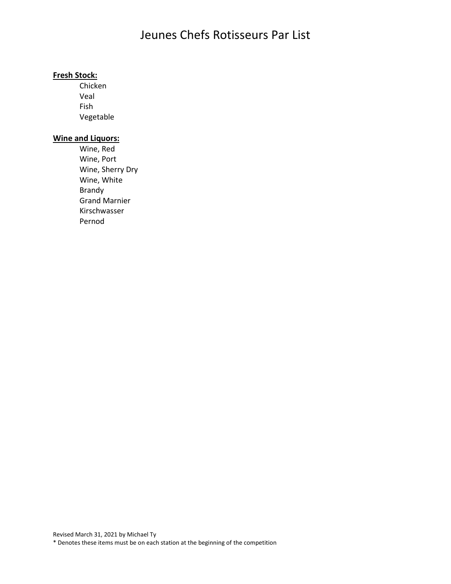# Jeunes Chefs Rotisseurs Par List

#### **Fresh Stock:**

Chicken Veal Fish Vegetable

#### **Wine and Liquors:**

Wine, Red Wine, Port Wine, Sherry Dry Wine, White Brandy Grand Marnier Kirschwasser Pernod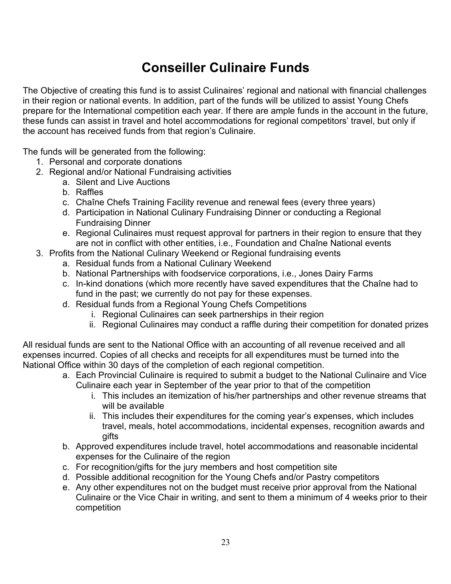# **Conseiller Culinaire Funds**

The Objective of creating this fund is to assist Culinaires' regional and national with financial challenges in their region or national events. In addition, part of the funds will be utilized to assist Young Chefs prepare for the International competition each year. If there are ample funds in the account in the future, these funds can assist in travel and hotel accommodations for regional competitors' travel, but only if the account has received funds from that region's Culinaire.

The funds will be generated from the following:

- 1. Personal and corporate donations
- 2. Regional and/or National Fundraising activities
	- a. Silent and Live Auctions
	- b. Raffles
	- c. Chaîne Chefs Training Facility revenue and renewal fees (every three years)
	- d. Participation in National Culinary Fundraising Dinner or conducting a Regional Fundraising Dinner
	- e. Regional Culinaires must request approval for partners in their region to ensure that they are not in conflict with other entities, i.e., Foundation and Chaîne National events
- 3. Profits from the National Culinary Weekend or Regional fundraising events
	- a. Residual funds from a National Culinary Weekend
	- b. National Partnerships with foodservice corporations, i.e., Jones Dairy Farms
	- c. In-kind donations (which more recently have saved expenditures that the Chaîne had to fund in the past; we currently do not pay for these expenses.
	- d. Residual funds from a Regional Young Chefs Competitions
		- i. Regional Culinaires can seek partnerships in their region
		- ii. Regional Culinaires may conduct a raffle during their competition for donated prizes

All residual funds are sent to the National Office with an accounting of all revenue received and all expenses incurred. Copies of all checks and receipts for all expenditures must be turned into the National Office within 30 days of the completion of each regional competition.

- a. Each Provincial Culinaire is required to submit a budget to the National Culinaire and Vice Culinaire each year in September of the year prior to that of the competition
	- i. This includes an itemization of his/her partnerships and other revenue streams that will be available
	- ii. This includes their expenditures for the coming year's expenses, which includes travel, meals, hotel accommodations, incidental expenses, recognition awards and gifts
- b. Approved expenditures include travel, hotel accommodations and reasonable incidental expenses for the Culinaire of the region
- c. For recognition/gifts for the jury members and host competition site
- d. Possible additional recognition for the Young Chefs and/or Pastry competitors
- e. Any other expenditures not on the budget must receive prior approval from the National Culinaire or the Vice Chair in writing, and sent to them a minimum of 4 weeks prior to their competition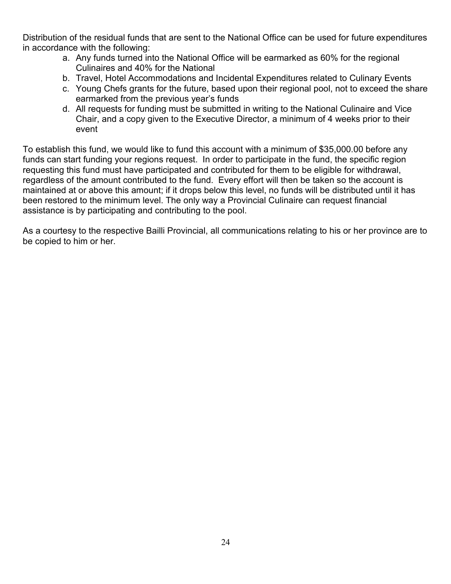Distribution of the residual funds that are sent to the National Office can be used for future expenditures in accordance with the following:

- a. Any funds turned into the National Office will be earmarked as 60% for the regional Culinaires and 40% for the National
- b. Travel, Hotel Accommodations and Incidental Expenditures related to Culinary Events
- c. Young Chefs grants for the future, based upon their regional pool, not to exceed the share earmarked from the previous year's funds
- d. All requests for funding must be submitted in writing to the National Culinaire and Vice Chair, and a copy given to the Executive Director, a minimum of 4 weeks prior to their event

To establish this fund, we would like to fund this account with a minimum of \$35,000.00 before any funds can start funding your regions request. In order to participate in the fund, the specific region requesting this fund must have participated and contributed for them to be eligible for withdrawal, regardless of the amount contributed to the fund. Every effort will then be taken so the account is maintained at or above this amount; if it drops below this level, no funds will be distributed until it has been restored to the minimum level. The only way a Provincial Culinaire can request financial assistance is by participating and contributing to the pool.

As a courtesy to the respective Bailli Provincial, all communications relating to his or her province are to be copied to him or her.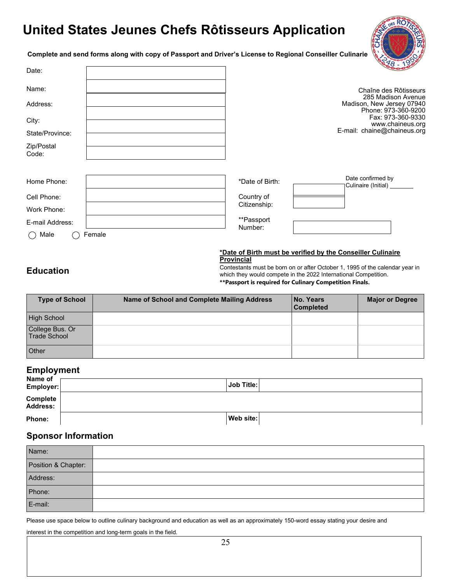# **United States Jeunes Chefs Rôtisseurs Application**



**Complete and send forms along with copy of Passport and Driver's License to Regional Conseiller Culinarie**

| Date:               |        |                       | Cong                                                                   |
|---------------------|--------|-----------------------|------------------------------------------------------------------------|
| Name:               |        |                       | Chaîne des Rôtisseurs                                                  |
| Address:            |        |                       | 285 Madison Avenue<br>Madison, New Jersey 07940<br>Phone: 973-360-9200 |
| City:               |        |                       | Fax: 973-360-9330<br>www.chaineus.org                                  |
| State/Province:     |        |                       | E-mail: chaine@chaineus.org                                            |
| Zip/Postal<br>Code: |        |                       |                                                                        |
|                     |        |                       |                                                                        |
| Home Phone:         |        | *Date of Birth:       | Date confirmed by<br>Culinaire (Initial) ______                        |
| Cell Phone:         |        | Country of            |                                                                        |
| Work Phone:         |        | Citizenship:          |                                                                        |
| E-mail Address:     |        | **Passport<br>Number: |                                                                        |
| Male                | Female |                       |                                                                        |

#### **\*Date of Birth must be verified by the Conseiller Culinaire Provincial**

### **Education**

Contestants must be born on or after October 1, 1995 of the calendar year in which they would compete in the 2022 International Competition. **\*\*Passport is required for Culinary Competition Finals.**

| <b>Type of School</b>           | Name of School and Complete Mailing Address | No. Years<br><b>Completed</b> | <b>Major or Degree</b> |
|---------------------------------|---------------------------------------------|-------------------------------|------------------------|
| <b>High School</b>              |                                             |                               |                        |
| College Bus. Or<br>Trade School |                                             |                               |                        |
| Other                           |                                             |                               |                        |

#### **Employment**

| Name of<br>Employer:        | Job Title: |
|-----------------------------|------------|
| Complete<br><b>Address:</b> |            |
| Phone:                      | Web site:  |

#### **Sponsor Information**

| Name:               |  |
|---------------------|--|
| Position & Chapter: |  |
| Address:            |  |
| Phone:              |  |
| E-mail:             |  |

Please use space below to outline culinary background and education as well as an approximately 150-word essay stating your desire and

interest in the competition and long-term goals in the field.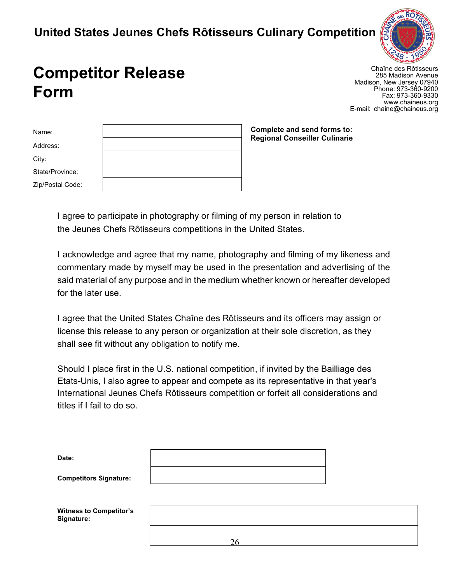# **United States Jeunes Chefs Rôtisseurs Culinary Competition**



# **Competitor Release Form**

Chaîne des Rôtisseurs 285 Madison Avenue Madison, New Jersey 07940 Phone: 973-360-9200 Fax: 973-360-9330 [www.chaineus.org](http://www.chaineus.org/) E-mail: [chaine@chaineus.org](mailto:chaine@chaineus.org)

| Name:            |  |
|------------------|--|
| Address:         |  |
| City:            |  |
| State/Province:  |  |
| Zip/Postal Code: |  |
|                  |  |

**Complete and send forms to: Regional Conseiller Culinarie**

I agree to participate in photography or filming of my person in relation to the Jeunes Chefs Rôtisseurs competitions in the United States.

I acknowledge and agree that my name, photography and filming of my likeness and commentary made by myself may be used in the presentation and advertising of the said material of any purpose and in the medium whether known or hereafter developed for the later use.

I agree that the United States Chaîne des Rôtisseurs and its officers may assign or license this release to any person or organization at their sole discretion, as they shall see fit without any obligation to notify me.

Should I place first in the U.S. national competition, if invited by the Bailliage des Etats-Unis, I also agree to appear and compete as its representative in that year's International Jeunes Chefs Rôtisseurs competition or forfeit all considerations and titles if I fail to do so.

| Date:                                        |    |  |  |
|----------------------------------------------|----|--|--|
| <b>Competitors Signature:</b>                |    |  |  |
| <b>Witness to Competitor's</b><br>Signature: |    |  |  |
|                                              | 26 |  |  |